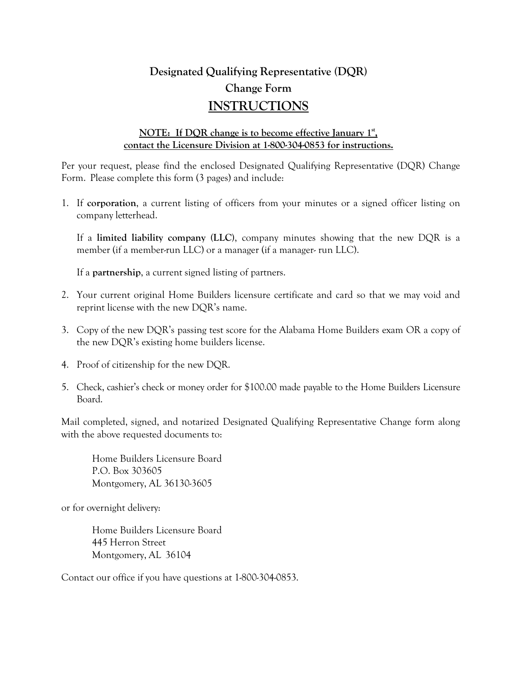# **Designated Qualifying Representative (DQR) Change Form INSTRUCTIONS**

### **NOTE: If DQR change is to become effective January 1st , contact the Licensure Division at 1-800-304-0853 for instructions.**

Per your request, please find the enclosed Designated Qualifying Representative (DQR) Change Form. Please complete this form (3 pages) and include:

1. If **corporation**, a current listing of officers from your minutes or a signed officer listing on company letterhead.

If a **limited liability company (LLC)**, company minutes showing that the new DQR is a member (if a member-run LLC) or a manager (if a manager- run LLC).

If a **partnership**, a current signed listing of partners.

- 2. Your current original Home Builders licensure certificate and card so that we may void and reprint license with the new DQR's name.
- 3. Copy of the new DQR's passing test score for the Alabama Home Builders exam OR a copy of the new DQR's existing home builders license.
- 4. Proof of citizenship for the new DQR.
- 5. Check, cashier's check or money order for \$100.00 made payable to the Home Builders Licensure Board.

Mail completed, signed, and notarized Designated Qualifying Representative Change form along with the above requested documents to:

Home Builders Licensure Board P.O. Box 303605 Montgomery, AL 36130-3605

or for overnight delivery:

Home Builders Licensure Board 445 Herron Street Montgomery, AL 36104

Contact our office if you have questions at 1-800-304-0853.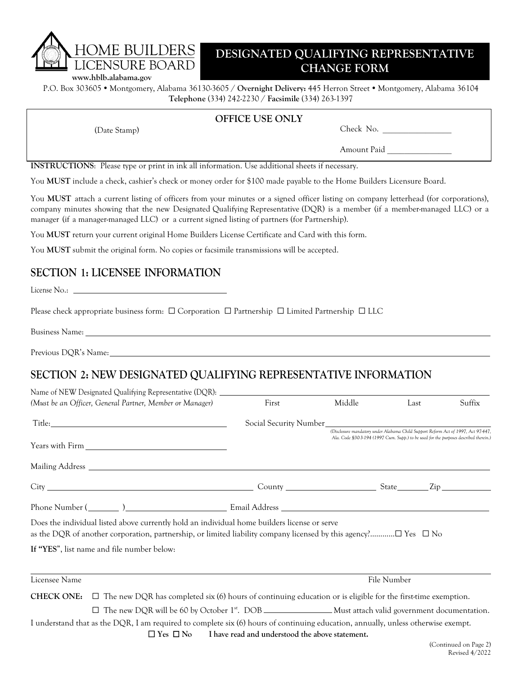# **DESIGNATED QUALIFYING REPRESENTATIVE CHANGE FORM www.hblb.alabama.gov**

**HOME BUILDERS** 

P.O. Box 303605 Montgomery, Alabama 36130-3605 / **Overnight Delivery:** 445 Herron Street Montgomery, Alabama 36104 **Telephone** (334) 242-2230 / **Facsimile** (334) 263-1397

### **OFFICE USE ONLY**

(Date Stamp) Check No. \_\_\_\_\_\_\_\_\_\_\_\_\_\_\_\_

# Amount Paid \_\_\_\_\_\_\_\_\_\_\_\_\_\_\_

**INSTRUCTIONS**: Please type or print in ink all information. Use additional sheets if necessary.

You **MUST** include a check, cashier's check or money order for \$100 made payable to the Home Builders Licensure Board.

You **MUST** attach a current listing of officers from your minutes or a signed officer listing on company letterhead (for corporations), company minutes showing that the new Designated Qualifying Representative (DQR) is a member (if a member-managed LLC) or a manager (if a manager-managed LLC) or a current signed listing of partners (for Partnership).

You **MUST** return your current original Home Builders License Certificate and Card with this form.

You **MUST** submit the original form. No copies or facsimile transmissions will be accepted.

## **SECTION 1: LICENSEE INFORMATION**

License No.:

Please check appropriate business form: ☐ Corporation ☐ Partnership ☐ Limited Partnership ☐ LLC

Business Name:

Previous DQR's Name:

## **SECTION 2: NEW DESIGNATED QUALIFYING REPRESENTATIVE INFORMATION**

| Name of NEW Designated Qualifying Representative (DQR): ________________________                                                      |                                                 |        |                                                                                                                                                                            |                        |
|---------------------------------------------------------------------------------------------------------------------------------------|-------------------------------------------------|--------|----------------------------------------------------------------------------------------------------------------------------------------------------------------------------|------------------------|
| (Must be an Officer, General Partner, Member or Manager)                                                                              | First                                           | Middle | Last                                                                                                                                                                       | Suffix                 |
|                                                                                                                                       |                                                 |        |                                                                                                                                                                            |                        |
|                                                                                                                                       |                                                 |        | (Disclosure mandatory under Alabama Child Support Reform Act of 1997, Act 97-447,<br>Ala. Code §30.3-194 (1997 Cum. Supp.) to be used for the purposes described therein.) |                        |
|                                                                                                                                       |                                                 |        |                                                                                                                                                                            |                        |
|                                                                                                                                       |                                                 |        |                                                                                                                                                                            |                        |
|                                                                                                                                       |                                                 |        |                                                                                                                                                                            |                        |
| Does the individual listed above currently hold an individual home builders license or serve                                          |                                                 |        |                                                                                                                                                                            |                        |
| If "YES", list name and file number below:                                                                                            |                                                 |        |                                                                                                                                                                            |                        |
| Licensee Name                                                                                                                         |                                                 |        | File Number                                                                                                                                                                |                        |
| <b>CHECK ONE:</b> $\Box$ The new DQR has completed six (6) hours of continuing education or is eligible for the first-time exemption. |                                                 |        |                                                                                                                                                                            |                        |
| $\Box$ The new DQR will be 60 by October 1 <sup>st</sup> . DOB _________________Must attach valid government documentation.           |                                                 |        |                                                                                                                                                                            |                        |
| I understand that as the DQR, I am required to complete six (6) hours of continuing education, annually, unless otherwise exempt.     |                                                 |        |                                                                                                                                                                            |                        |
| $\Box$ Yes $\Box$ No                                                                                                                  | I have read and understood the above statement. |        |                                                                                                                                                                            |                        |
|                                                                                                                                       |                                                 |        |                                                                                                                                                                            | $(Confinual on Dao 2)$ |

(Continued on Page Revised 4/2022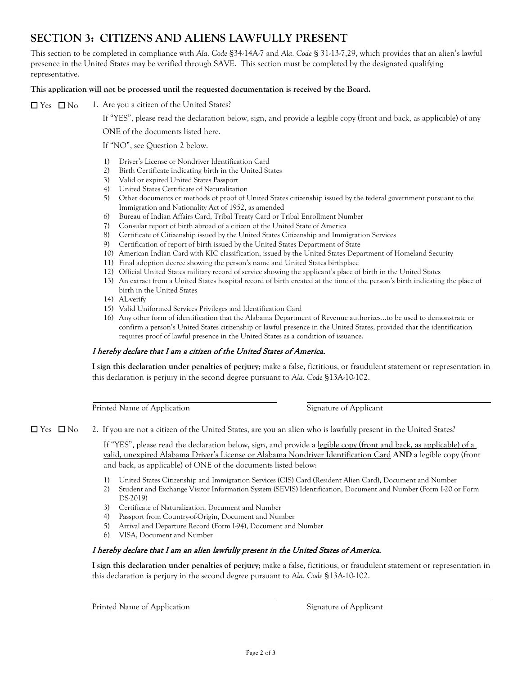# **SECTION 3: CITIZENS AND ALIENS LAWFULLY PRESENT**

This section to be completed in compliance with *Ala. Code* §34-14A-7 and *Ala. Code* § 31-13-7,29, which provides that an alien's lawful presence in the United States may be verified through SAVE. This section must be completed by the designated qualifying representative.

### **This application will not be processed until the requested documentation is received by the Board.**

 $\square$  Yes  $\square$  No 1. Are you a citizen of the United States?

If "YES", please read the declaration below, sign, and provide a legible copy (front and back, as applicable) of any

ONE of the documents listed here.

If "NO", see Question 2 below.

- 1) Driver's License or Nondriver Identification Card
- 2) Birth Certificate indicating birth in the United States
- 3) Valid or expired United States Passport
- 4) United States Certificate of Naturalization
- 5) Other documents or methods of proof of United States citizenship issued by the federal government pursuant to the Immigration and Nationality Act of 1952, as amended
- 6) Bureau of Indian Affairs Card, Tribal Treaty Card or Tribal Enrollment Number
- 7) Consular report of birth abroad of a citizen of the United State of America
- 8) Certificate of Citizenship issued by the United States Citizenship and Immigration Services
- 9) Certification of report of birth issued by the United States Department of State
- 10) American Indian Card with KIC classification, issued by the United States Department of Homeland Security
- 11) Final adoption decree showing the person's name and United States birthplace
- 12) Official United States military record of service showing the applicant's place of birth in the United States
- 13) An extract from a United States hospital record of birth created at the time of the person's birth indicating the place of birth in the United States
- 14) AL-verify
- 15) Valid Uniformed Services Privileges and Identification Card
- 16) Any other form of identification that the Alabama Department of Revenue authorizes…to be used to demonstrate or confirm a person's United States citizenship or lawful presence in the United States, provided that the identification requires proof of lawful presence in the United States as a condition of issuance.

#### I hereby declare that I am a citizen of the United States of America.

**I sign this declaration under penalties of perjury**; make a false, fictitious, or fraudulent statement or representation in this declaration is perjury in the second degree pursuant to *Ala. Code* §13A-10-102.

Printed Name of Application Signature of Applicant

☐ Yes ☐ No 2. If you are not a citizen of the United States, are you an alien who is lawfully present in the United States?

If "YES", please read the declaration below, sign, and provide a legible copy (front and back, as applicable) of a valid, unexpired Alabama Driver's License or Alabama Nondriver Identification Card **AND** a legible copy (front and back, as applicable) of ONE of the documents listed below:

- 1) United States Citizenship and Immigration Services (CIS) Card (Resident Alien Card), Document and Number
- 2) Student and Exchange Visitor Information System (SEVIS) Identification, Document and Number (Form I-20 or Form DS-2019)
- 3) Certificate of Naturalization, Document and Number
- 4) Passport from Country-of-Origin, Document and Number
- 5) Arrival and Departure Record (Form I-94), Document and Number
- 6) VISA, Document and Number

#### I hereby declare that I am an alien lawfully present in the United States of America.

**I sign this declaration under penalties of perjury**; make a false, fictitious, or fraudulent statement or representation in this declaration is perjury in the second degree pursuant to *Ala. Code* §13A-10-102.

Printed Name of Application Signature of Applicant